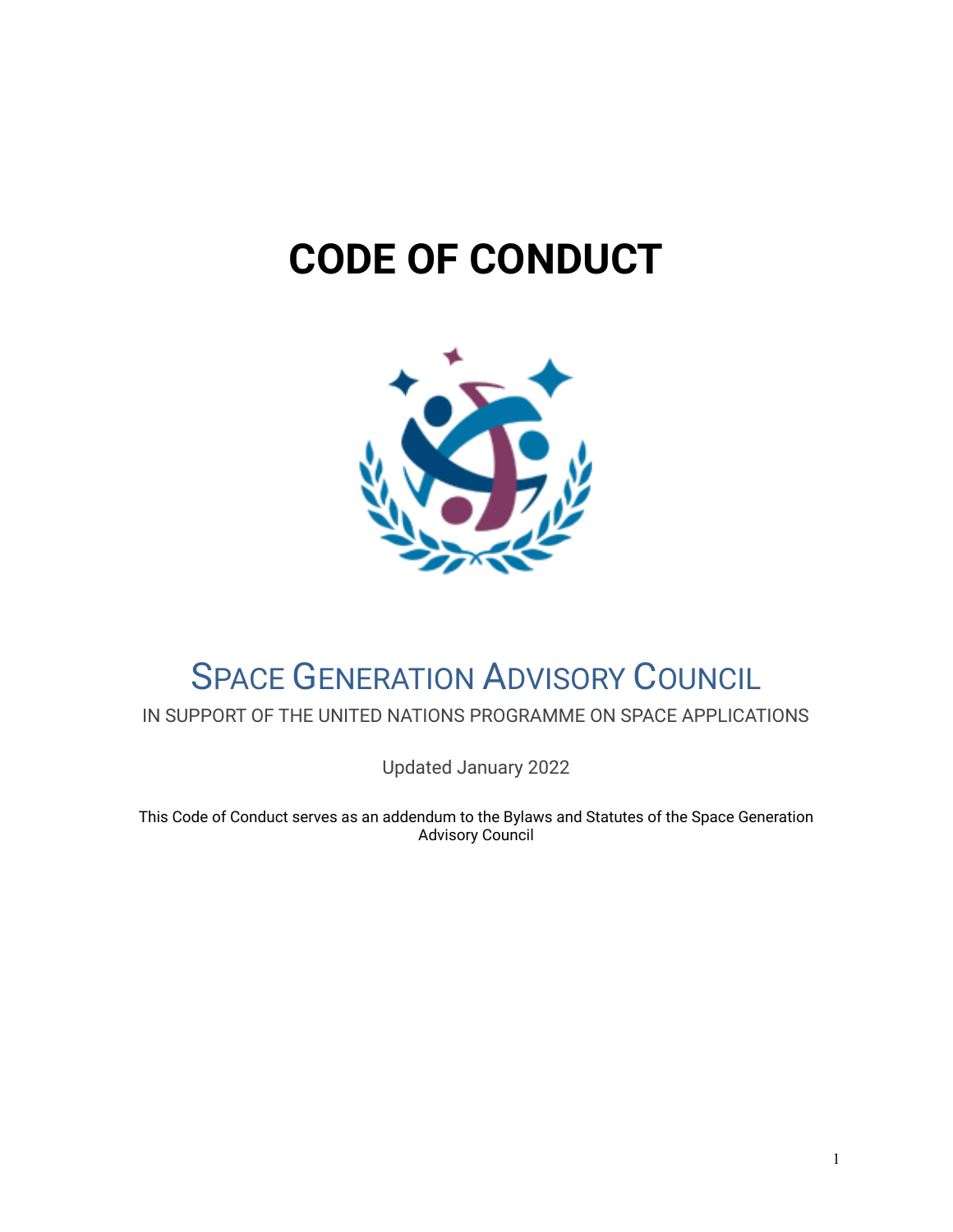# **CODE OF CONDUCT**



# SPACE GENERATION ADVISORY COUNCIL

IN SUPPORT OF THE UNITED NATIONS PROGRAMME ON SPACE APPLICATIONS

Updated January 2022

This Code of Conduct serves as an addendum to the Bylaws and Statutes of the Space Generation Advisory Council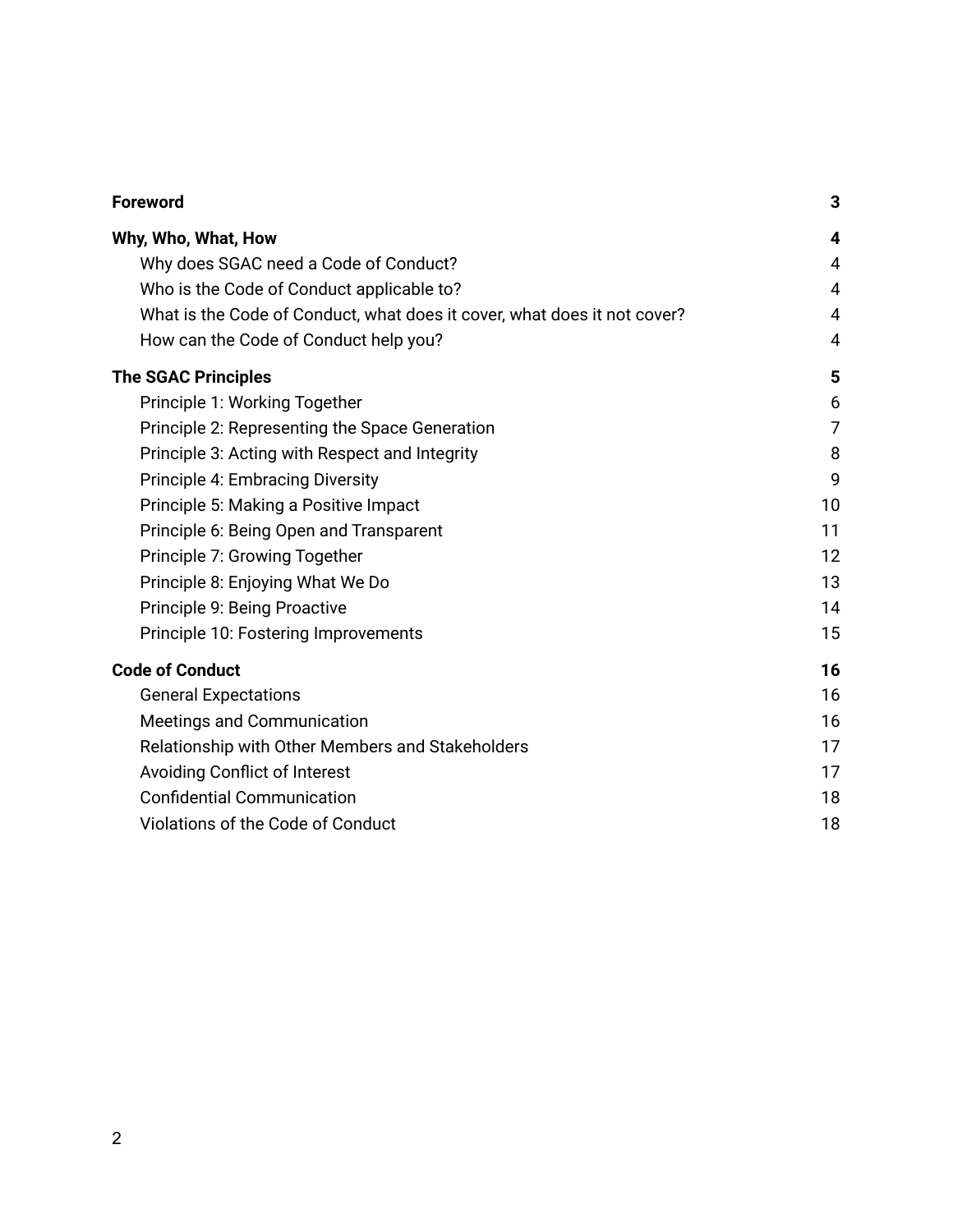| <b>Foreword</b>                                                          | 3              |
|--------------------------------------------------------------------------|----------------|
| Why, Who, What, How                                                      | 4              |
| Why does SGAC need a Code of Conduct?                                    | $\overline{4}$ |
| Who is the Code of Conduct applicable to?                                | $\overline{4}$ |
| What is the Code of Conduct, what does it cover, what does it not cover? | $\overline{4}$ |
| How can the Code of Conduct help you?                                    | 4              |
| <b>The SGAC Principles</b>                                               | 5              |
| Principle 1: Working Together                                            | 6              |
| Principle 2: Representing the Space Generation                           | 7              |
| Principle 3: Acting with Respect and Integrity                           | 8              |
| Principle 4: Embracing Diversity                                         | 9              |
| Principle 5: Making a Positive Impact                                    | 10             |
| Principle 6: Being Open and Transparent                                  | 11             |
| Principle 7: Growing Together                                            | 12             |
| Principle 8: Enjoying What We Do                                         | 13             |
| Principle 9: Being Proactive                                             | 14             |
| Principle 10: Fostering Improvements                                     | 15             |
| <b>Code of Conduct</b>                                                   | 16             |
| <b>General Expectations</b>                                              | 16             |
| Meetings and Communication                                               | 16             |
| Relationship with Other Members and Stakeholders                         | 17             |
| <b>Avoiding Conflict of Interest</b>                                     | 17             |
| <b>Confidential Communication</b>                                        | 18             |
| Violations of the Code of Conduct                                        | 18             |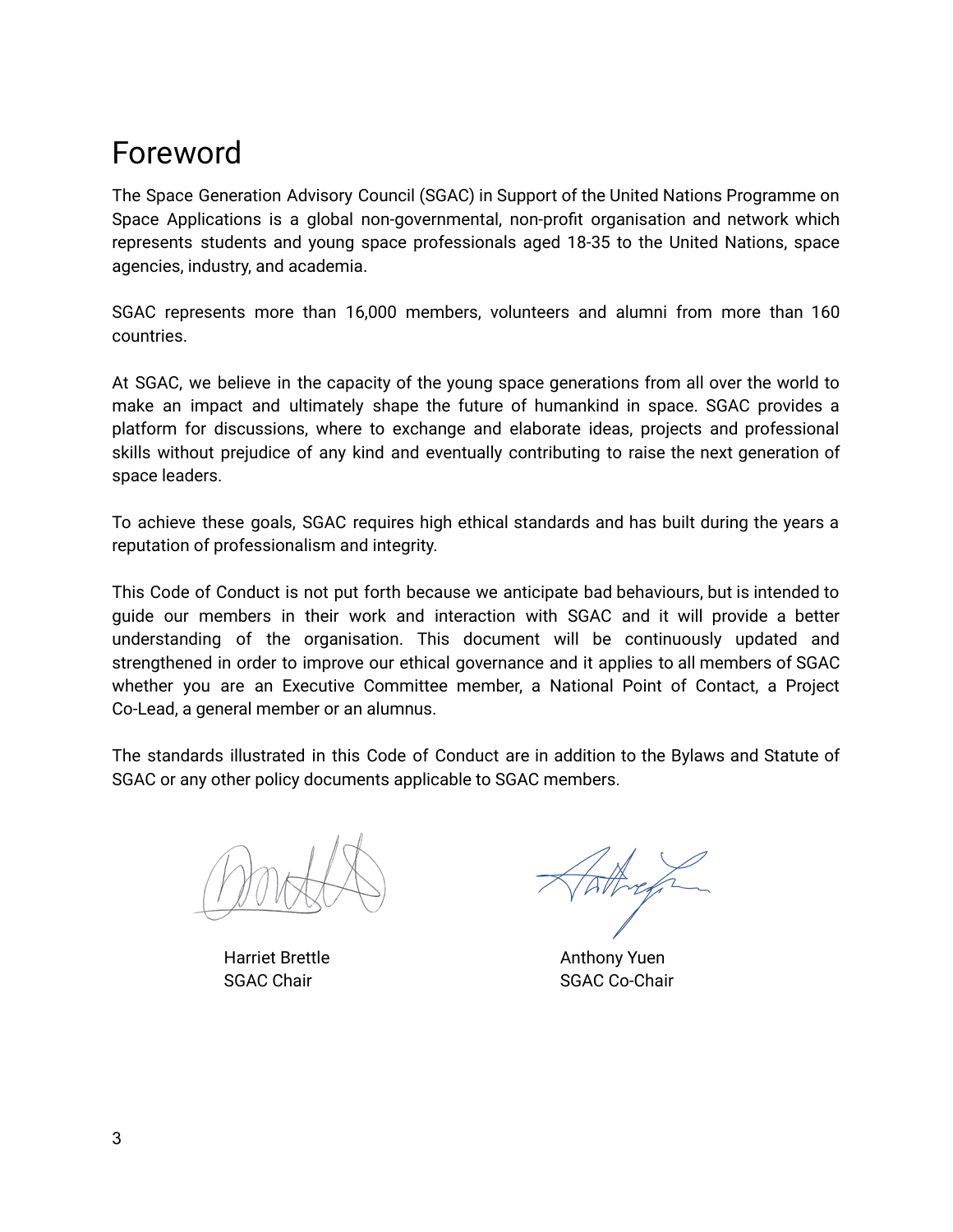## <span id="page-2-0"></span>Foreword

The Space Generation Advisory Council (SGAC) in Support of the United Nations Programme on Space Applications is a global non-governmental, non-profit organisation and network which represents students and young space professionals aged 18-35 to the United Nations, space agencies, industry, and academia.

SGAC represents more than 16,000 members, volunteers and alumni from more than 160 countries.

At SGAC, we believe in the capacity of the young space generations from all over the world to make an impact and ultimately shape the future of humankind in space. SGAC provides a platform for discussions, where to exchange and elaborate ideas, projects and professional skills without prejudice of any kind and eventually contributing to raise the next generation of space leaders.

To achieve these goals, SGAC requires high ethical standards and has built during the years a reputation of professionalism and integrity.

This Code of Conduct is not put forth because we anticipate bad behaviours, but is intended to guide our members in their work and interaction with SGAC and it will provide a better understanding of the organisation. This document will be continuously updated and strengthened in order to improve our ethical governance and it applies to all members of SGAC whether you are an Executive Committee member, a National Point of Contact, a Project Co-Lead, a general member or an alumnus.

The standards illustrated in this Code of Conduct are in addition to the Bylaws and Statute of SGAC or any other policy documents applicable to SGAC members.

Harriet Brettle **Anthony Yuen** 

SGAC Chair SGAC Co-Chair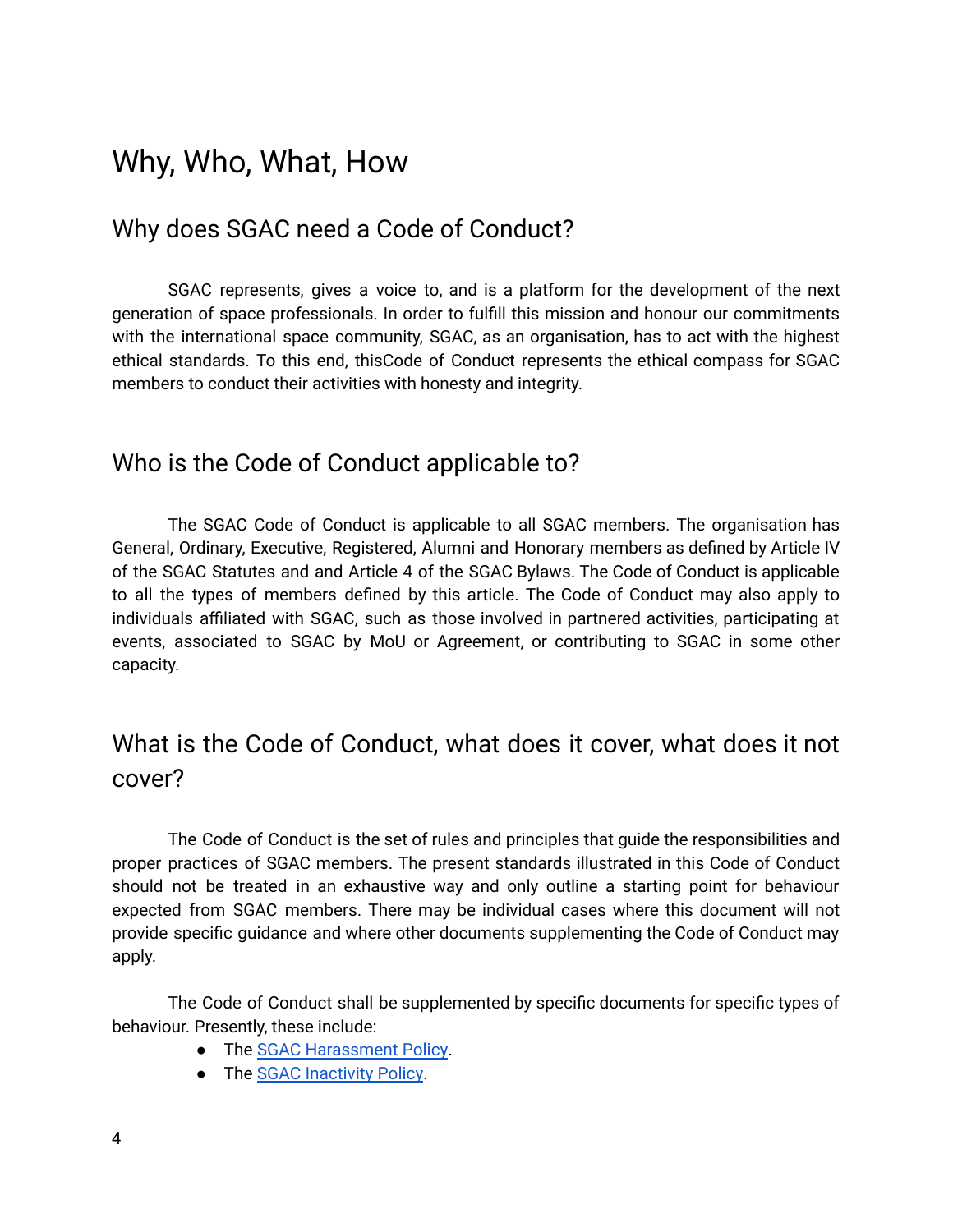### <span id="page-3-0"></span>Why, Who, What, How

### <span id="page-3-1"></span>Why does SGAC need a Code of Conduct?

SGAC represents, gives a voice to, and is a platform for the development of the next generation of space professionals. In order to fulfill this mission and honour our commitments with the international space community, SGAC, as an organisation, has to act with the highest ethical standards. To this end, thisCode of Conduct represents the ethical compass for SGAC members to conduct their activities with honesty and integrity.

### <span id="page-3-2"></span>Who is the Code of Conduct applicable to?

The SGAC Code of Conduct is applicable to all SGAC members. The organisation has General, Ordinary, Executive, Registered, Alumni and Honorary members as defined by Article IV of the SGAC Statutes and and Article 4 of the SGAC Bylaws. The Code of Conduct is applicable to all the types of members defined by this article. The Code of Conduct may also apply to individuals affiliated with SGAC, such as those involved in partnered activities, participating at events, associated to SGAC by MoU or Agreement, or contributing to SGAC in some other capacity.

### <span id="page-3-3"></span>What is the Code of Conduct, what does it cover, what does it not cover?

The Code of Conduct is the set of rules and principles that guide the responsibilities and proper practices of SGAC members. The present standards illustrated in this Code of Conduct should not be treated in an exhaustive way and only outline a starting point for behaviour expected from SGAC members. There may be individual cases where this document will not provide specific guidance and where other documents supplementing the Code of Conduct may apply.

The Code of Conduct shall be supplemented by specific documents for specific types of behaviour. Presently, these include:

- The SGAC [Harassment](https://drive.google.com/file/d/1Nj_fqKs6URnLpcqRV12wQYYfCLgYUrMr/view?usp=sharing) Policy.
- The SGAC [Inactivity](https://drive.google.com/file/d/1dydvNADBi1----Kv2cemTdSHKP6eqPnR/view?usp=sharing) Policy.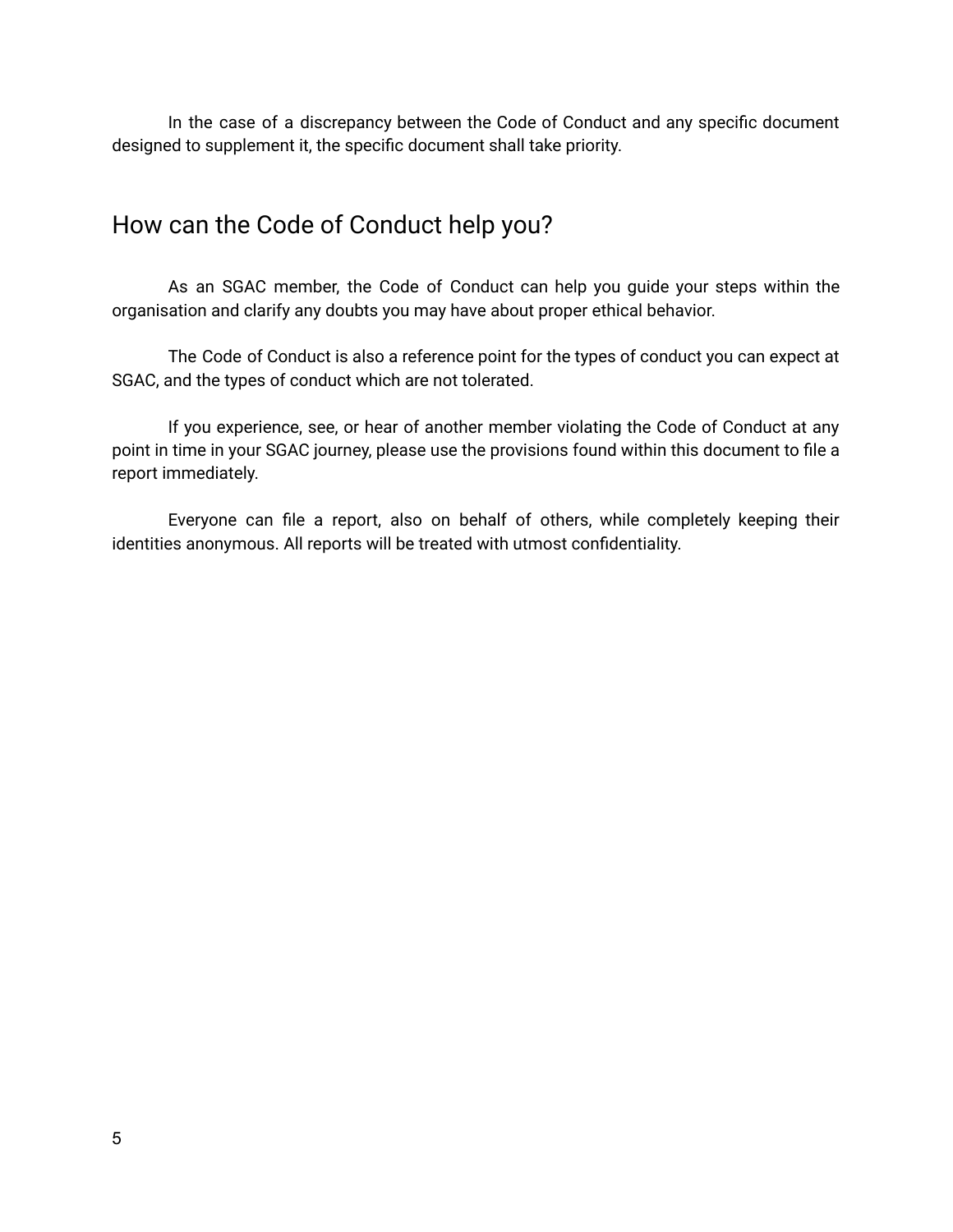In the case of a discrepancy between the Code of Conduct and any specific document designed to supplement it, the specific document shall take priority.

### <span id="page-4-0"></span>How can the Code of Conduct help you?

As an SGAC member, the Code of Conduct can help you guide your steps within the organisation and clarify any doubts you may have about proper ethical behavior.

The Code of Conduct is also a reference point for the types of conduct you can expect at SGAC, and the types of conduct which are not tolerated.

If you experience, see, or hear of another member violating the Code of Conduct at any point in time in your SGAC journey, please use the provisions found within this document to file a report immediately.

Everyone can file a report, also on behalf of others, while completely keeping their identities anonymous. All reports will be treated with utmost confidentiality.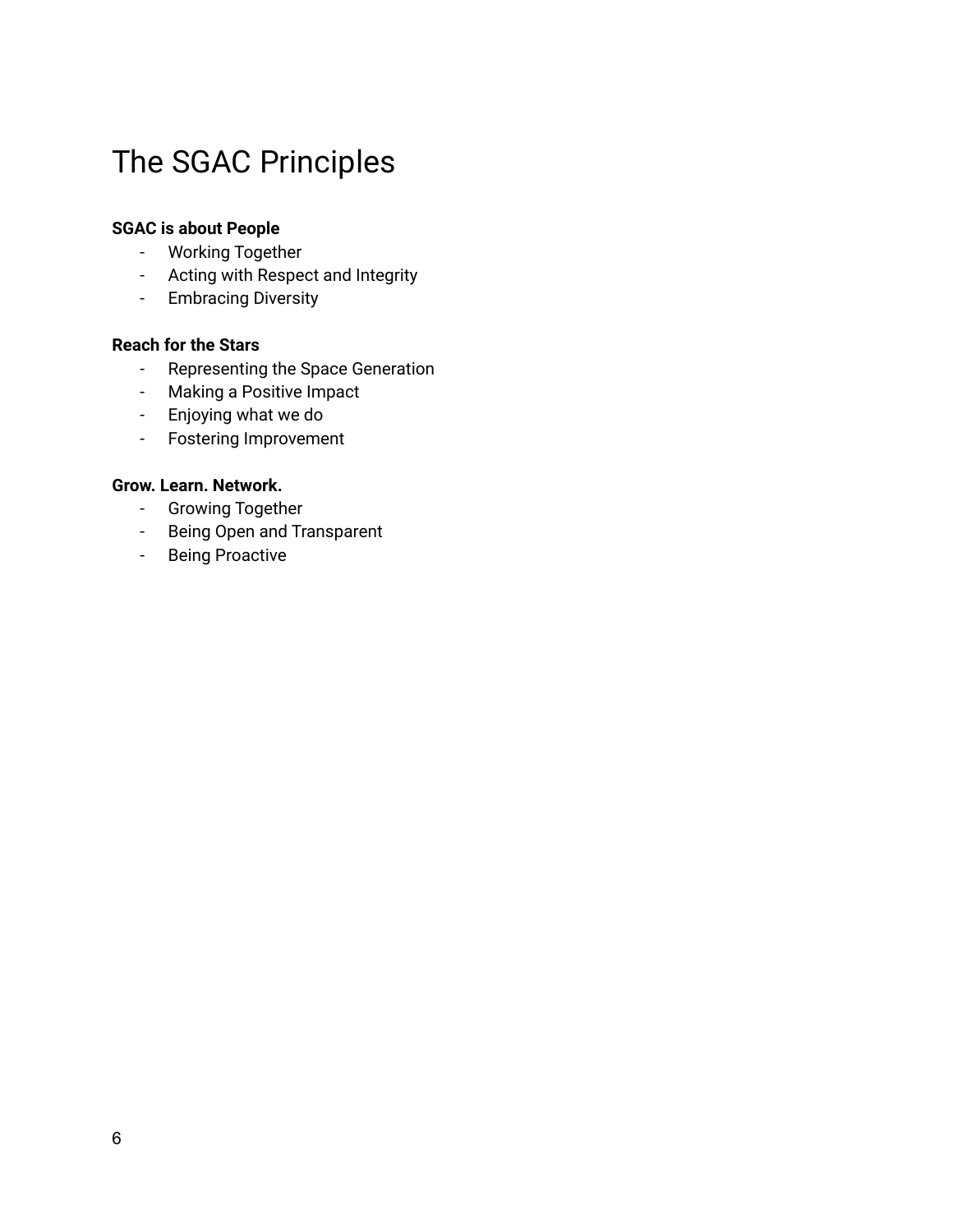# <span id="page-5-0"></span>The SGAC Principles

#### **SGAC is about People**

- Working Together
- Acting with Respect and Integrity
- Embracing Diversity

#### **Reach for the Stars**

- Representing the Space Generation
- Making a Positive Impact
- Enjoying what we do
- Fostering Improvement

#### **Grow. Learn. Network.**

- Growing Together
- Being Open and Transparent
- Being Proactive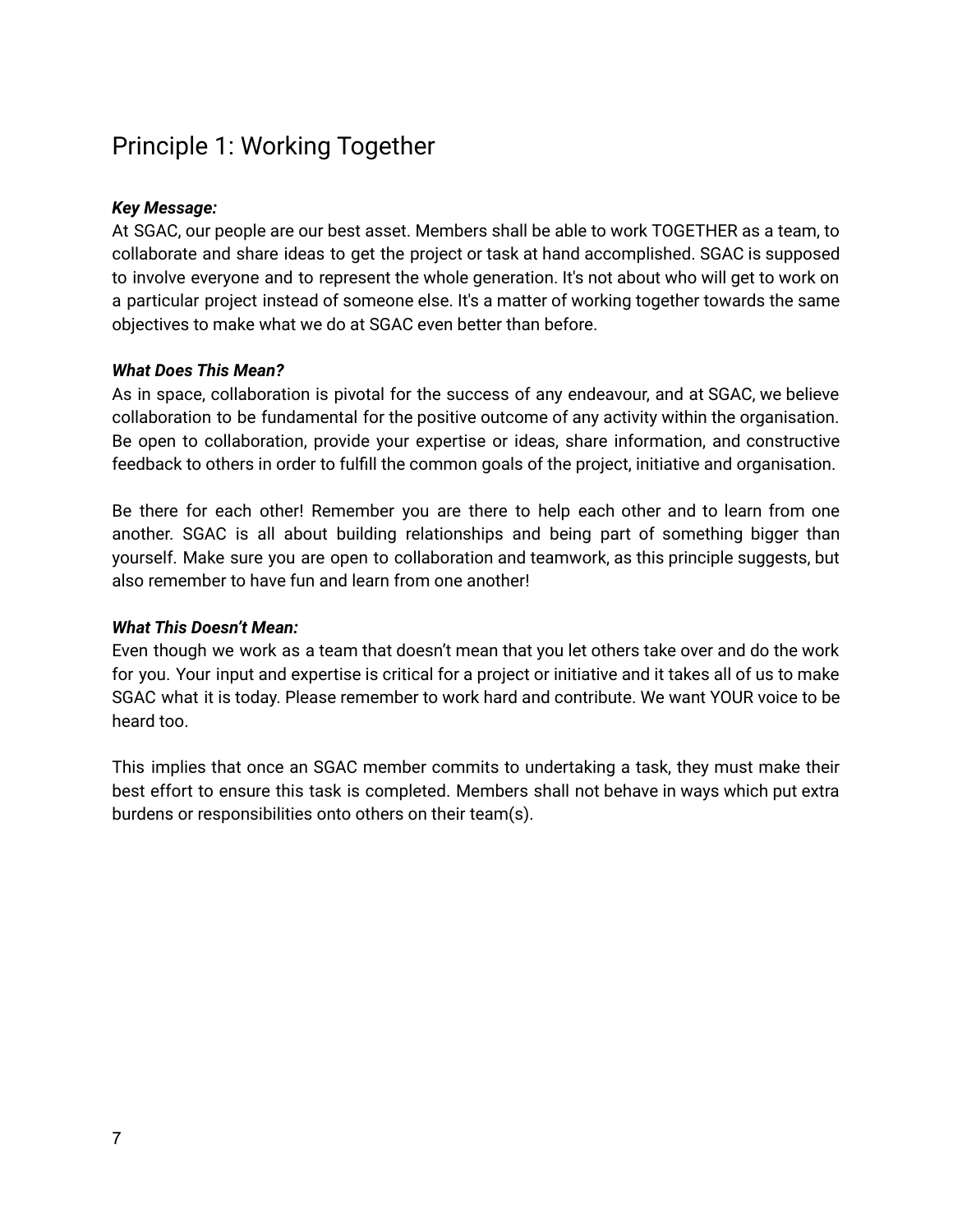### <span id="page-6-0"></span>Principle 1: Working Together

#### *Key Message:*

At SGAC, our people are our best asset. Members shall be able to work TOGETHER as a team, to collaborate and share ideas to get the project or task at hand accomplished. SGAC is supposed to involve everyone and to represent the whole generation. It's not about who will get to work on a particular project instead of someone else. It's a matter of working together towards the same objectives to make what we do at SGAC even better than before.

#### *What Does This Mean?*

As in space, collaboration is pivotal for the success of any endeavour, and at SGAC, we believe collaboration to be fundamental for the positive outcome of any activity within the organisation. Be open to collaboration, provide your expertise or ideas, share information, and constructive feedback to others in order to fulfill the common goals of the project, initiative and organisation.

Be there for each other! Remember you are there to help each other and to learn from one another. SGAC is all about building relationships and being part of something bigger than yourself. Make sure you are open to collaboration and teamwork, as this principle suggests, but also remember to have fun and learn from one another!

#### *What This Doesn't Mean:*

Even though we work as a team that doesn't mean that you let others take over and do the work for you. Your input and expertise is critical for a project or initiative and it takes all of us to make SGAC what it is today. Please remember to work hard and contribute. We want YOUR voice to be heard too.

This implies that once an SGAC member commits to undertaking a task, they must make their best effort to ensure this task is completed. Members shall not behave in ways which put extra burdens or responsibilities onto others on their team(s).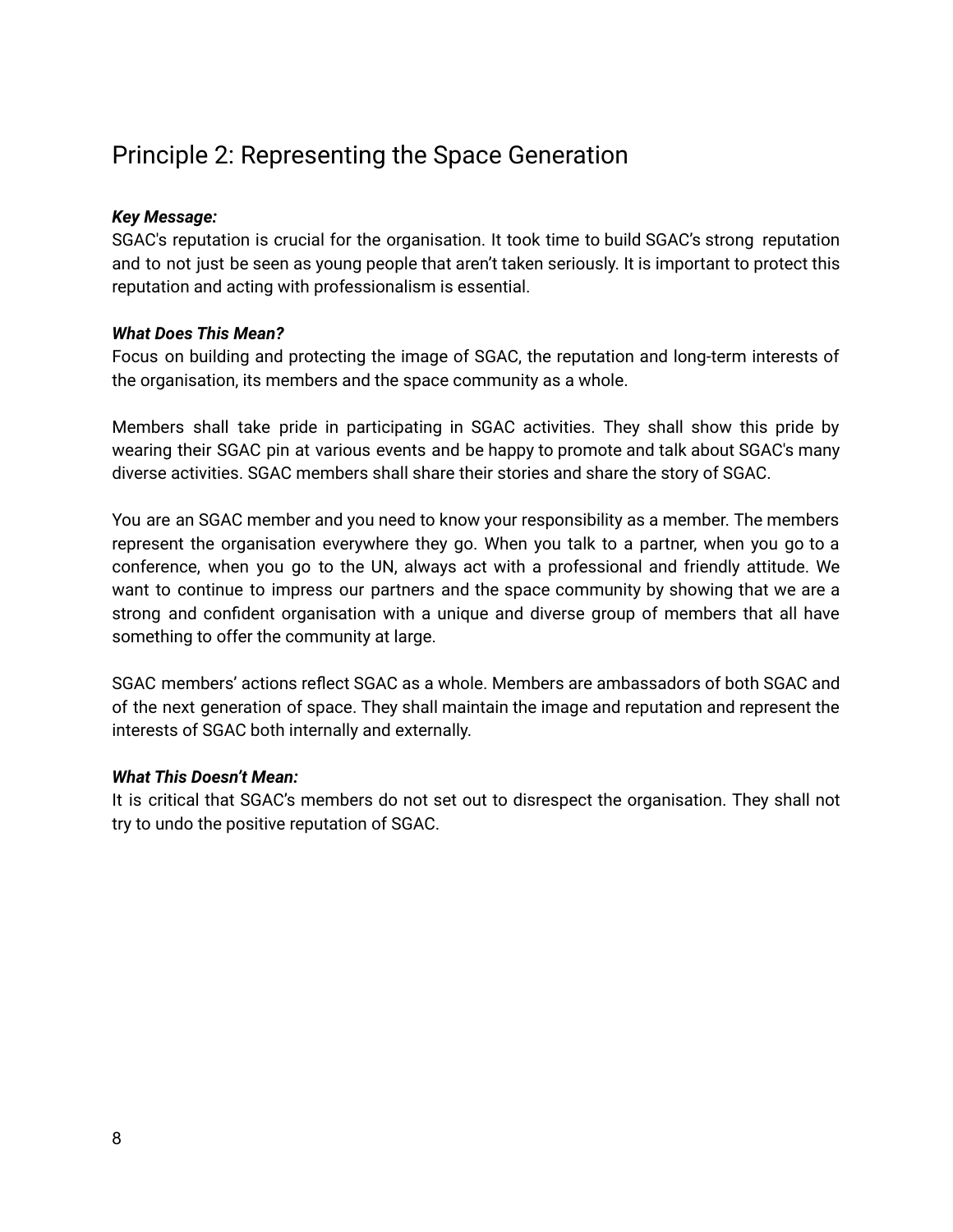### <span id="page-7-0"></span>Principle 2: Representing the Space Generation

#### *Key Message:*

SGAC's reputation is crucial for the organisation. It took time to build SGAC's strong reputation and to not just be seen as young people that aren't taken seriously. It is important to protect this reputation and acting with professionalism is essential.

#### *What Does This Mean?*

Focus on building and protecting the image of SGAC, the reputation and long-term interests of the organisation, its members and the space community as a whole.

Members shall take pride in participating in SGAC activities. They shall show this pride by wearing their SGAC pin at various events and be happy to promote and talk about SGAC's many diverse activities. SGAC members shall share their stories and share the story of SGAC.

You are an SGAC member and you need to know your responsibility as a member. The members represent the organisation everywhere they go. When you talk to a partner, when you go to a conference, when you go to the UN, always act with a professional and friendly attitude. We want to continue to impress our partners and the space community by showing that we are a strong and confident organisation with a unique and diverse group of members that all have something to offer the community at large.

SGAC members' actions reflect SGAC as a whole. Members are ambassadors of both SGAC and of the next generation of space. They shall maintain the image and reputation and represent the interests of SGAC both internally and externally.

#### *What This Doesn't Mean:*

It is critical that SGAC's members do not set out to disrespect the organisation. They shall not try to undo the positive reputation of SGAC.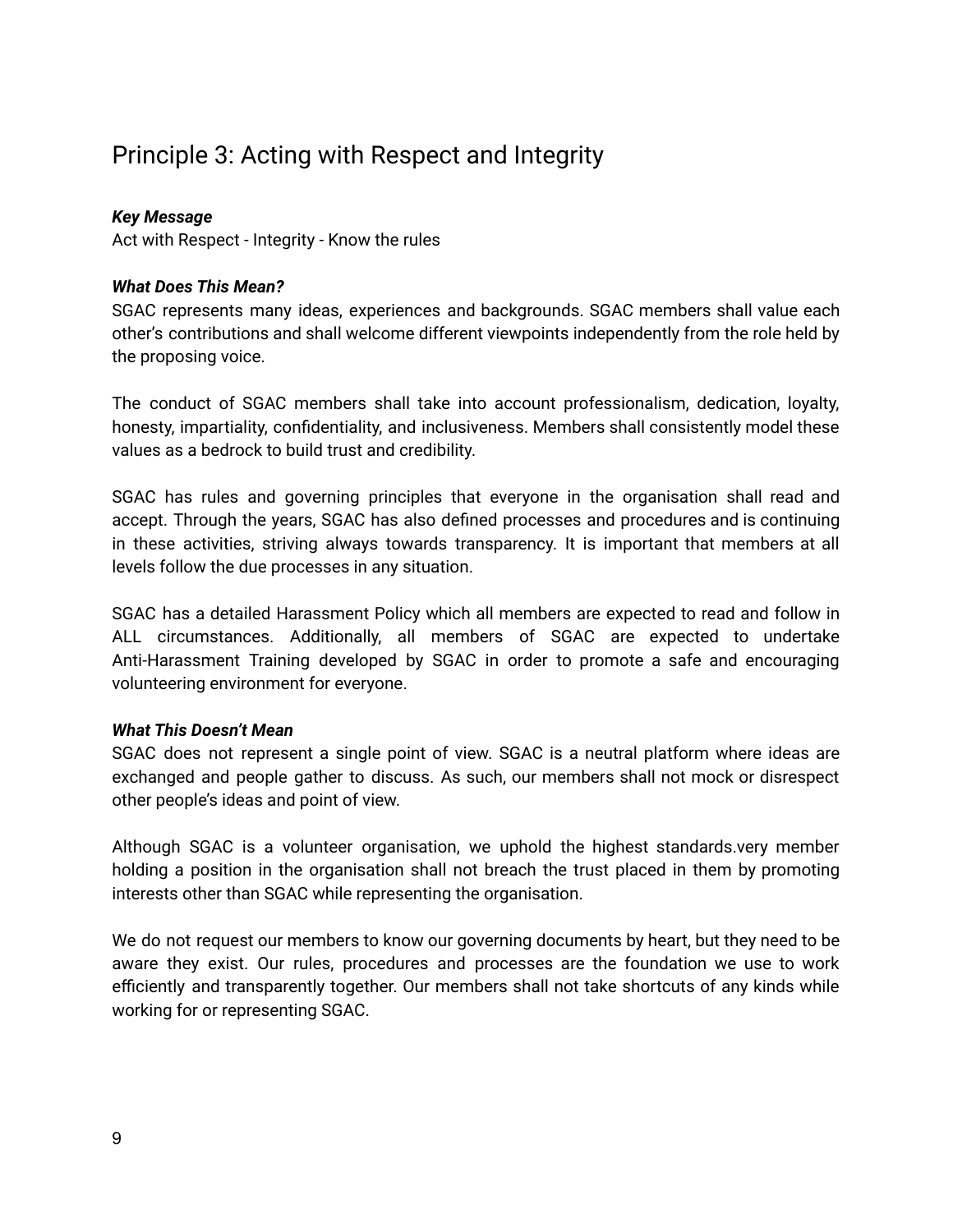### <span id="page-8-0"></span>Principle 3: Acting with Respect and Integrity

#### *Key Message*

Act with Respect - Integrity - Know the rules

#### *What Does This Mean?*

SGAC represents many ideas, experiences and backgrounds. SGAC members shall value each other's contributions and shall welcome different viewpoints independently from the role held by the proposing voice.

The conduct of SGAC members shall take into account professionalism, dedication, loyalty, honesty, impartiality, confidentiality, and inclusiveness. Members shall consistently model these values as a bedrock to build trust and credibility.

SGAC has rules and governing principles that everyone in the organisation shall read and accept. Through the years, SGAC has also defined processes and procedures and is continuing in these activities, striving always towards transparency. It is important that members at all levels follow the due processes in any situation.

SGAC has a detailed Harassment Policy which all members are expected to read and follow in ALL circumstances. Additionally, all members of SGAC are expected to undertake Anti-Harassment Training developed by SGAC in order to promote a safe and encouraging volunteering environment for everyone.

#### *What This Doesn't Mean*

SGAC does not represent a single point of view. SGAC is a neutral platform where ideas are exchanged and people gather to discuss. As such, our members shall not mock or disrespect other people's ideas and point of view.

Although SGAC is a volunteer organisation, we uphold the highest standards.very member holding a position in the organisation shall not breach the trust placed in them by promoting interests other than SGAC while representing the organisation.

We do not request our members to know our governing documents by heart, but they need to be aware they exist. Our rules, procedures and processes are the foundation we use to work efficiently and transparently together. Our members shall not take shortcuts of any kinds while working for or representing SGAC.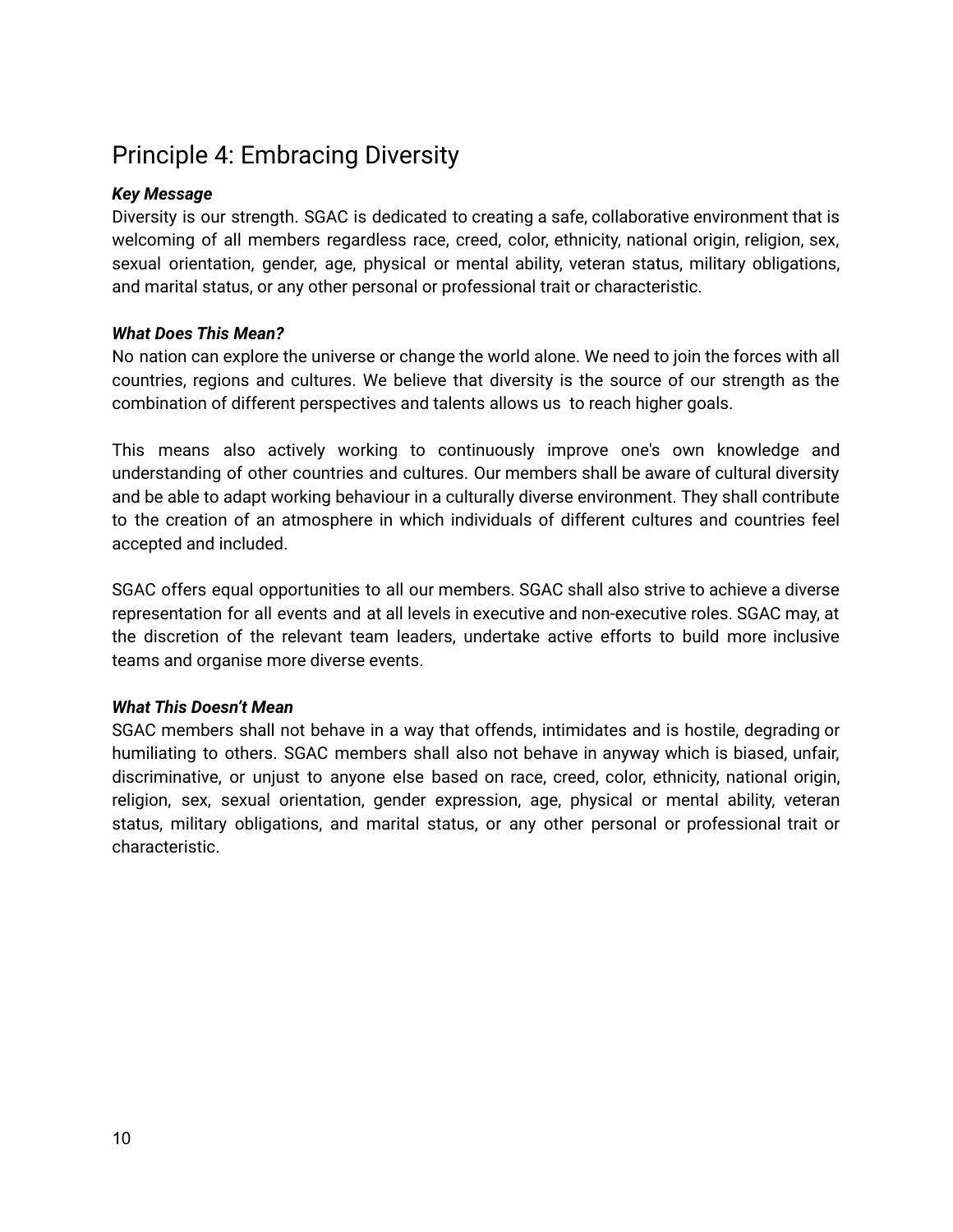### <span id="page-9-0"></span>Principle 4: Embracing Diversity

#### *Key Message*

Diversity is our strength. SGAC is dedicated to creating a safe, collaborative environment that is welcoming of all members regardless race, creed, color, ethnicity, national origin, religion, sex, sexual orientation, gender, age, physical or mental ability, veteran status, military obligations, and marital status, or any other personal or professional trait or characteristic.

#### *What Does This Mean?*

No nation can explore the universe or change the world alone. We need to join the forces with all countries, regions and cultures. We believe that diversity is the source of our strength as the combination of different perspectives and talents allows us to reach higher goals.

This means also actively working to continuously improve one's own knowledge and understanding of other countries and cultures. Our members shall be aware of cultural diversity and be able to adapt working behaviour in a culturally diverse environment. They shall contribute to the creation of an atmosphere in which individuals of different cultures and countries feel accepted and included.

SGAC offers equal opportunities to all our members. SGAC shall also strive to achieve a diverse representation for all events and at all levels in executive and non-executive roles. SGAC may, at the discretion of the relevant team leaders, undertake active efforts to build more inclusive teams and organise more diverse events.

#### *What This Doesn't Mean*

SGAC members shall not behave in a way that offends, intimidates and is hostile, degrading or humiliating to others. SGAC members shall also not behave in anyway which is biased, unfair, discriminative, or unjust to anyone else based on race, creed, color, ethnicity, national origin, religion, sex, sexual orientation, gender expression, age, physical or mental ability, veteran status, military obligations, and marital status, or any other personal or professional trait or characteristic.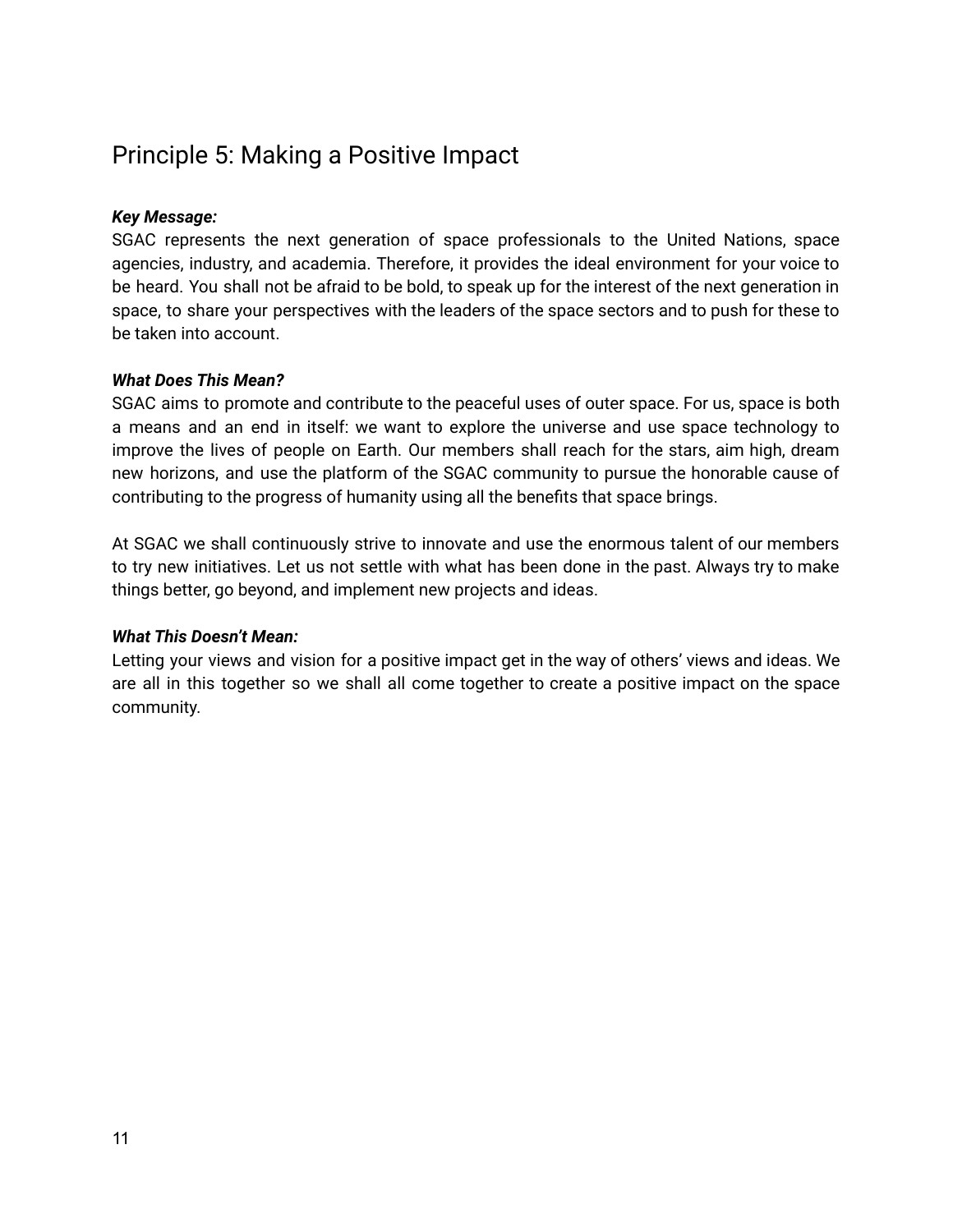### <span id="page-10-0"></span>Principle 5: Making a Positive Impact

#### *Key Message:*

SGAC represents the next generation of space professionals to the United Nations, space agencies, industry, and academia. Therefore, it provides the ideal environment for your voice to be heard. You shall not be afraid to be bold, to speak up for the interest of the next generation in space, to share your perspectives with the leaders of the space sectors and to push for these to be taken into account.

#### *What Does This Mean?*

SGAC aims to promote and contribute to the peaceful uses of outer space. For us, space is both a means and an end in itself: we want to explore the universe and use space technology to improve the lives of people on Earth. Our members shall reach for the stars, aim high, dream new horizons, and use the platform of the SGAC community to pursue the honorable cause of contributing to the progress of humanity using all the benefits that space brings.

At SGAC we shall continuously strive to innovate and use the enormous talent of our members to try new initiatives. Let us not settle with what has been done in the past. Always try to make things better, go beyond, and implement new projects and ideas.

#### *What This Doesn't Mean:*

Letting your views and vision for a positive impact get in the way of others' views and ideas. We are all in this together so we shall all come together to create a positive impact on the space community.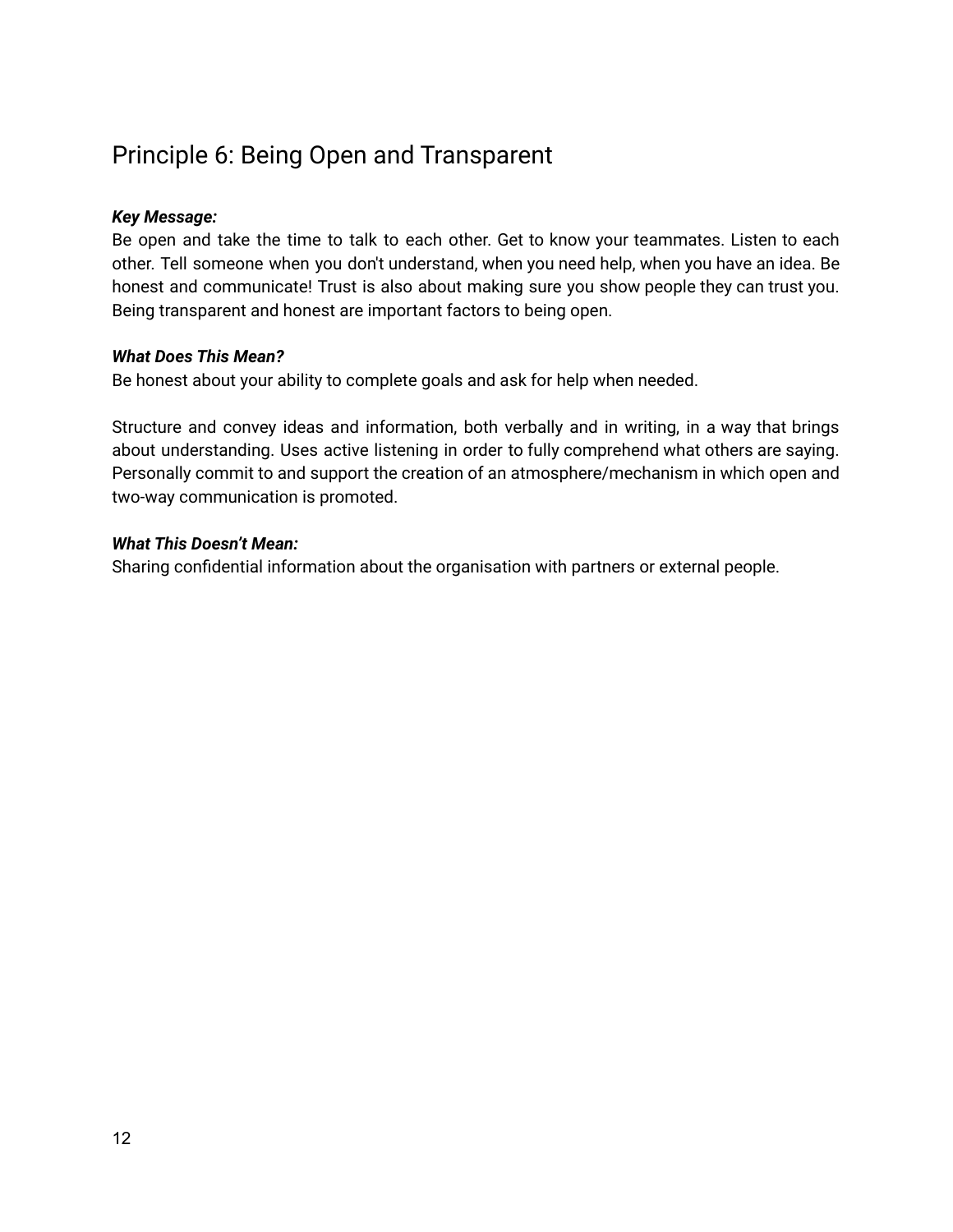### <span id="page-11-0"></span>Principle 6: Being Open and Transparent

#### *Key Message:*

Be open and take the time to talk to each other. Get to know your teammates. Listen to each other. Tell someone when you don't understand, when you need help, when you have an idea. Be honest and communicate! Trust is also about making sure you show people they can trust you. Being transparent and honest are important factors to being open.

#### *What Does This Mean?*

Be honest about your ability to complete goals and ask for help when needed.

Structure and convey ideas and information, both verbally and in writing, in a way that brings about understanding. Uses active listening in order to fully comprehend what others are saying. Personally commit to and support the creation of an atmosphere/mechanism in which open and two-way communication is promoted.

#### *What This Doesn't Mean:*

Sharing confidential information about the organisation with partners or external people.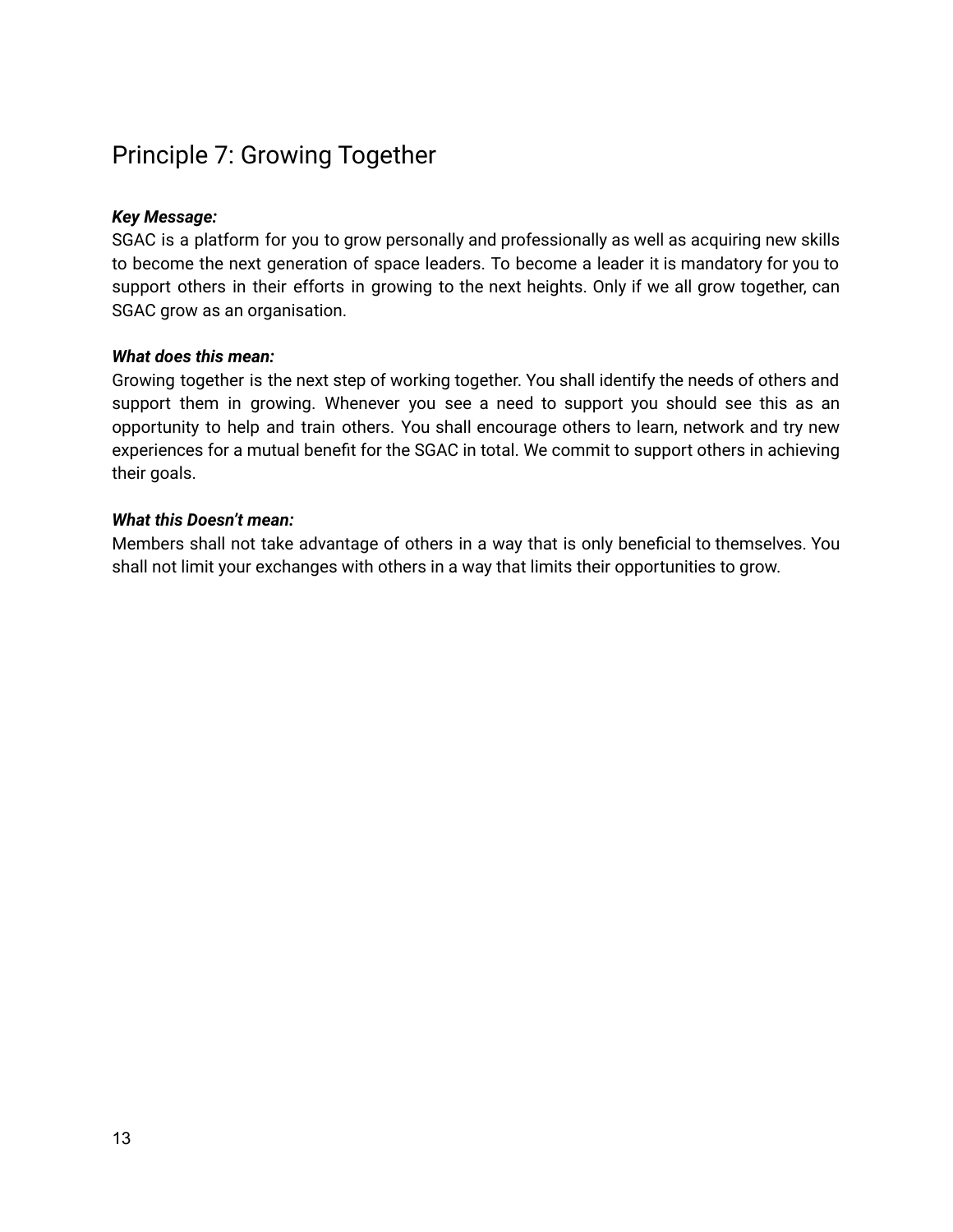### <span id="page-12-0"></span>Principle 7: Growing Together

#### *Key Message:*

SGAC is a platform for you to grow personally and professionally as well as acquiring new skills to become the next generation of space leaders. To become a leader it is mandatory for you to support others in their efforts in growing to the next heights. Only if we all grow together, can SGAC grow as an organisation.

#### *What does this mean:*

Growing together is the next step of working together. You shall identify the needs of others and support them in growing. Whenever you see a need to support you should see this as an opportunity to help and train others. You shall encourage others to learn, network and try new experiences for a mutual benefit for the SGAC in total. We commit to support others in achieving their goals.

#### *What this Doesn't mean:*

Members shall not take advantage of others in a way that is only beneficial to themselves. You shall not limit your exchanges with others in a way that limits their opportunities to grow.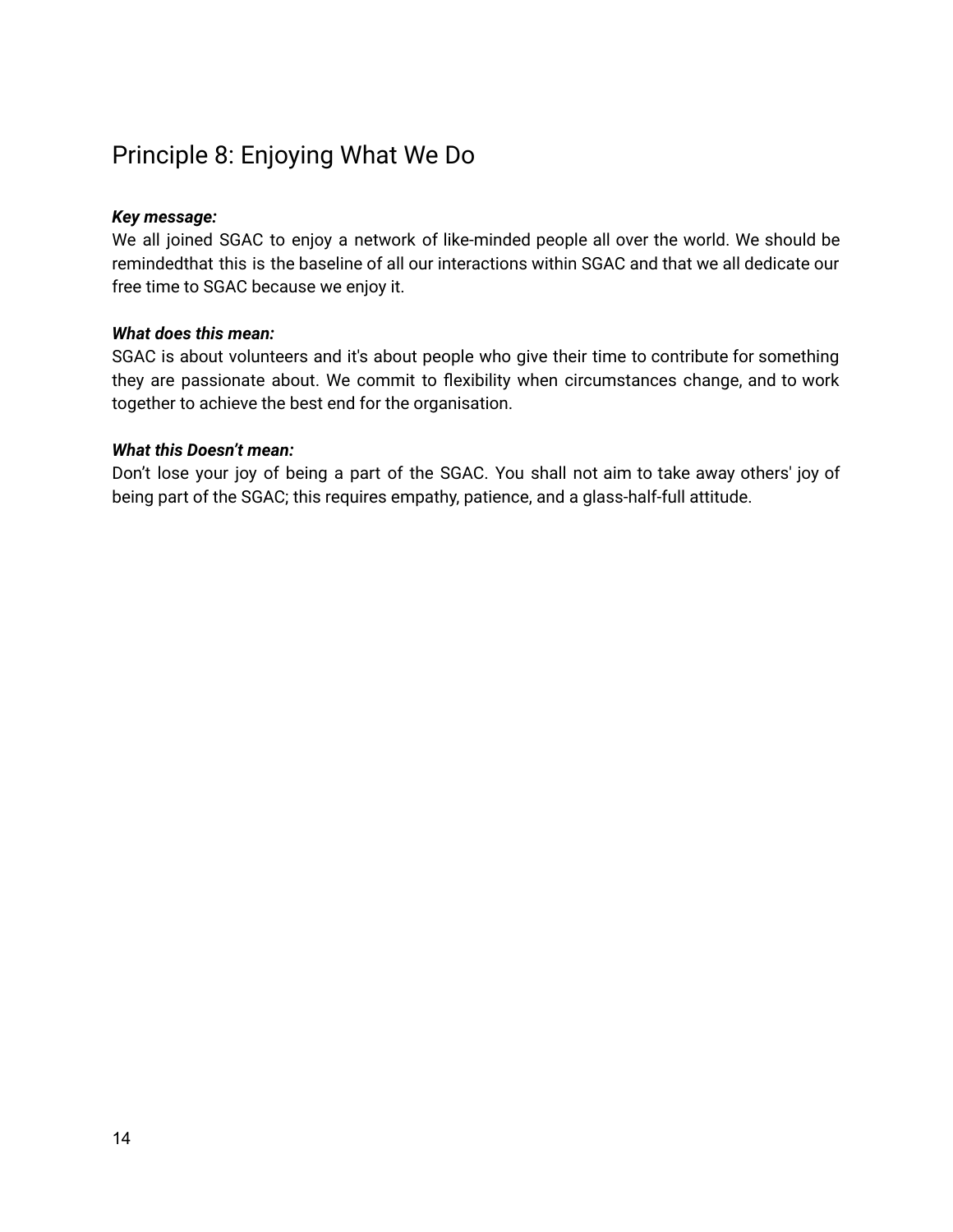### <span id="page-13-0"></span>Principle 8: Enjoying What We Do

#### *Key message:*

We all joined SGAC to enjoy a network of like-minded people all over the world. We should be remindedthat this is the baseline of all our interactions within SGAC and that we all dedicate our free time to SGAC because we enjoy it.

#### *What does this mean:*

SGAC is about volunteers and it's about people who give their time to contribute for something they are passionate about. We commit to flexibility when circumstances change, and to work together to achieve the best end for the organisation.

#### *What this Doesn't mean:*

Don't lose your joy of being a part of the SGAC. You shall not aim to take away others' joy of being part of the SGAC; this requires empathy, patience, and a glass-half-full attitude.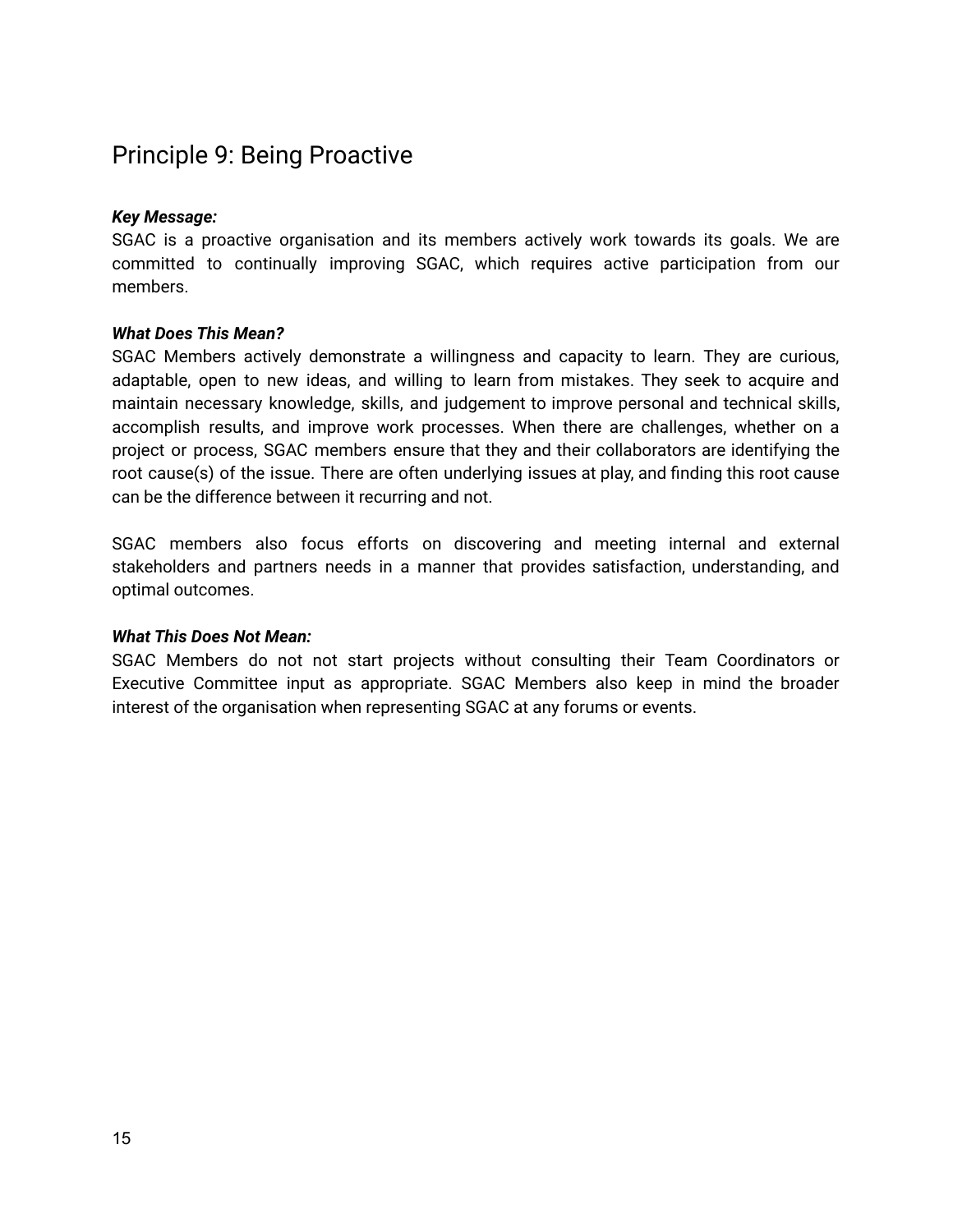### <span id="page-14-0"></span>Principle 9: Being Proactive

#### *Key Message:*

SGAC is a proactive organisation and its members actively work towards its goals. We are committed to continually improving SGAC, which requires active participation from our members.

#### *What Does This Mean?*

SGAC Members actively demonstrate a willingness and capacity to learn. They are curious, adaptable, open to new ideas, and willing to learn from mistakes. They seek to acquire and maintain necessary knowledge, skills, and judgement to improve personal and technical skills, accomplish results, and improve work processes. When there are challenges, whether on a project or process, SGAC members ensure that they and their collaborators are identifying the root cause(s) of the issue. There are often underlying issues at play, and finding this root cause can be the difference between it recurring and not.

SGAC members also focus efforts on discovering and meeting internal and external stakeholders and partners needs in a manner that provides satisfaction, understanding, and optimal outcomes.

#### *What This Does Not Mean:*

SGAC Members do not not start projects without consulting their Team Coordinators or Executive Committee input as appropriate. SGAC Members also keep in mind the broader interest of the organisation when representing SGAC at any forums or events.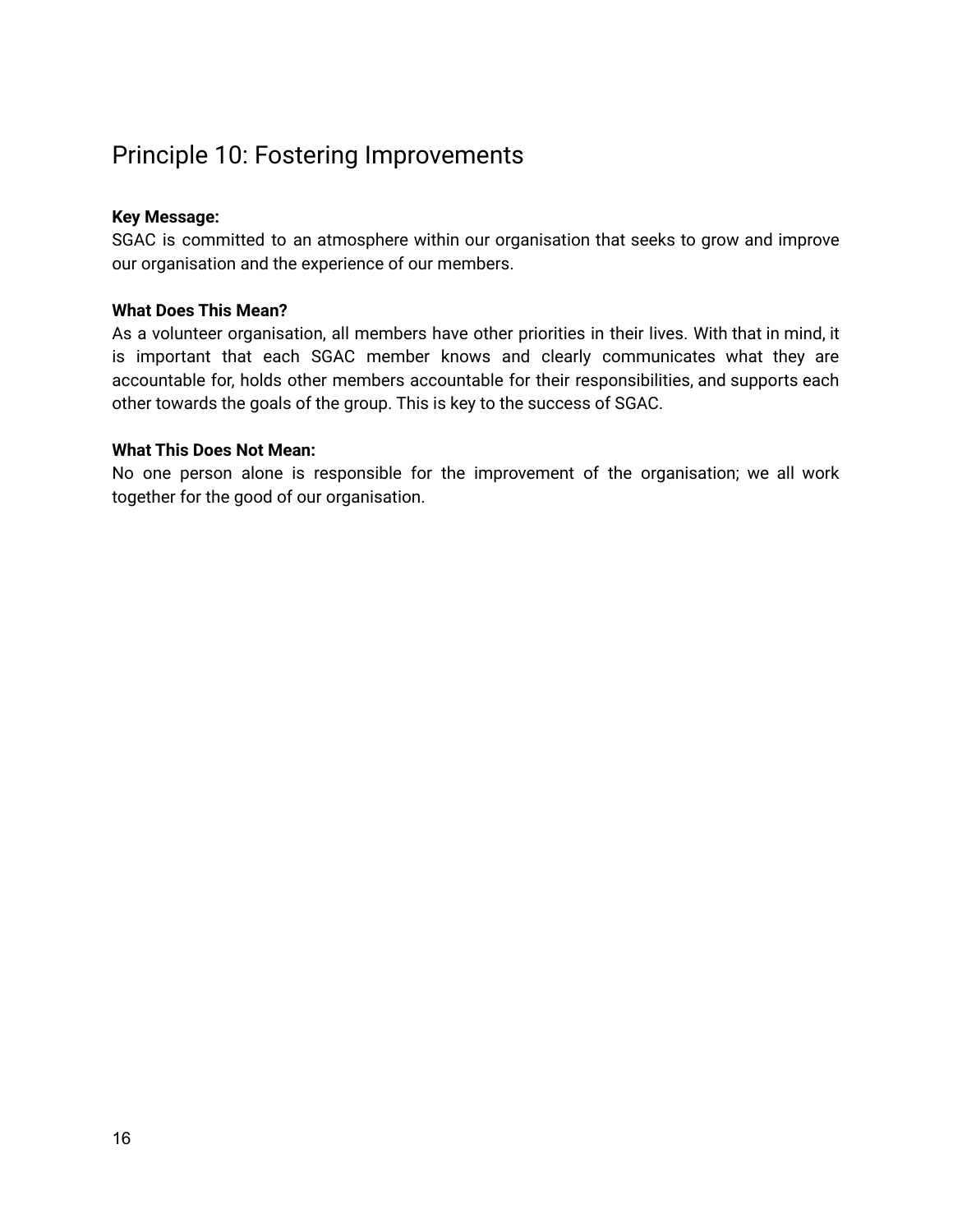### <span id="page-15-0"></span>Principle 10: Fostering Improvements

#### **Key Message:**

SGAC is committed to an atmosphere within our organisation that seeks to grow and improve our organisation and the experience of our members.

#### **What Does This Mean?**

As a volunteer organisation, all members have other priorities in their lives. With that in mind, it is important that each SGAC member knows and clearly communicates what they are accountable for, holds other members accountable for their responsibilities, and supports each other towards the goals of the group. This is key to the success of SGAC.

#### **What This Does Not Mean:**

No one person alone is responsible for the improvement of the organisation; we all work together for the good of our organisation.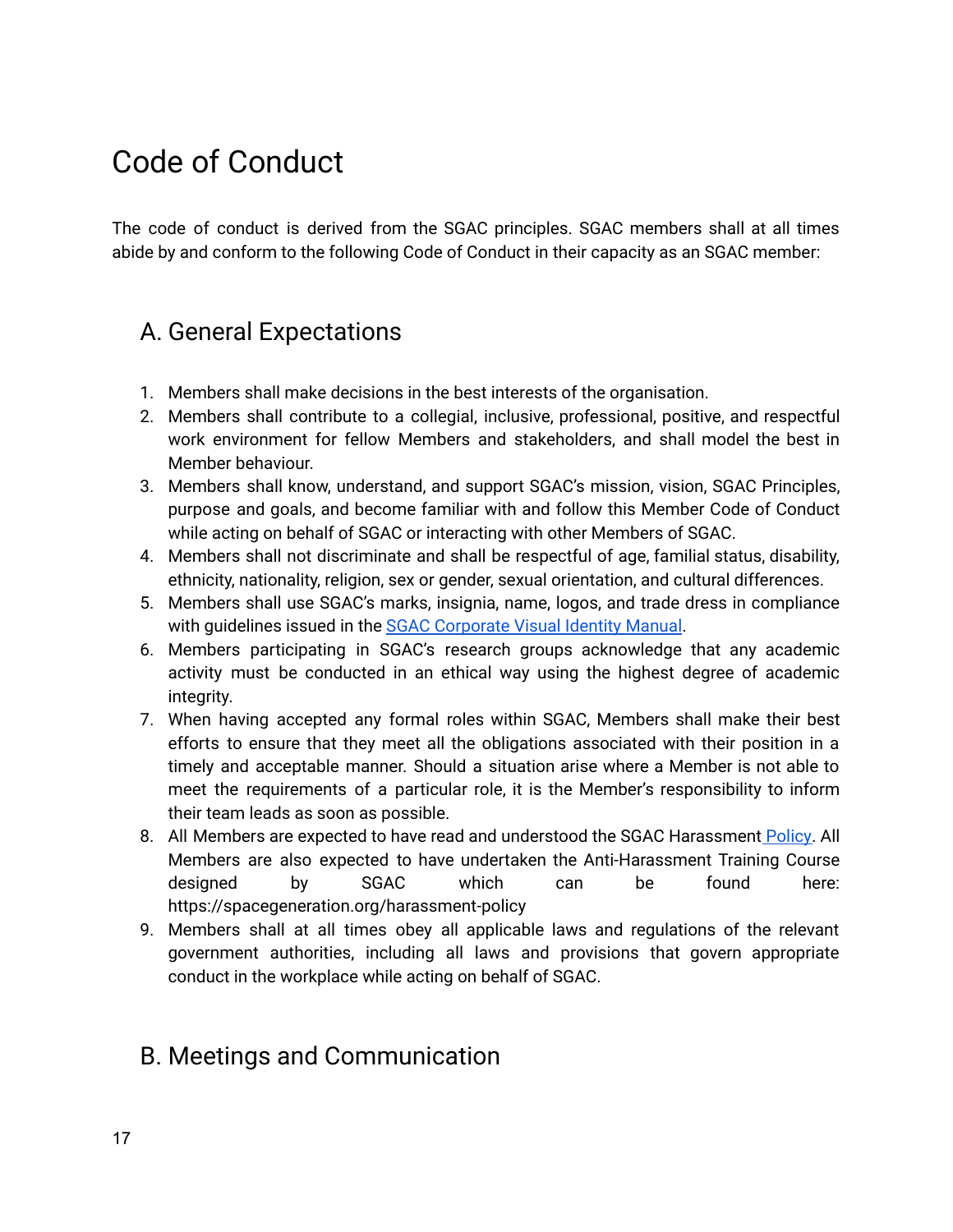## <span id="page-16-0"></span>Code of Conduct

The code of conduct is derived from the SGAC principles. SGAC members shall at all times abide by and conform to the following Code of Conduct in their capacity as an SGAC member:

### <span id="page-16-1"></span>A. General Expectations

- 1. Members shall make decisions in the best interests of the organisation.
- 2. Members shall contribute to a collegial, inclusive, professional, positive, and respectful work environment for fellow Members and stakeholders, and shall model the best in Member behaviour.
- 3. Members shall know, understand, and support SGAC's mission, vision, SGAC Principles, purpose and goals, and become familiar with and follow this Member Code of Conduct while acting on behalf of SGAC or interacting with other Members of SGAC.
- 4. Members shall not discriminate and shall be respectful of age, familial status, disability, ethnicity, nationality, religion, sex or gender, sexual orientation, and cultural differences.
- 5. Members shall use SGAC's marks, insignia, name, logos, and trade dress in compliance with quidelines issued in the **SGAC [Corporate](https://drive.google.com/open?id=1xt4DoN3SqOT7VbAYBQw4TRHYCYcsbBYFp4MALQotcJI) Visual Identity Manual**.
- 6. Members participating in SGAC's research groups acknowledge that any academic activity must be conducted in an ethical way using the highest degree of academic integrity.
- 7. When having accepted any formal roles within SGAC, Members shall make their best efforts to ensure that they meet all the obligations associated with their position in a timely and acceptable manner. Should a situation arise where a Member is not able to meet the requirements of a particular role, it is the Member's responsibility to inform their team leads as soon as possible.
- 8. All Members are expected to have read and understood the SGAC Harassment **[Policy.](https://spacegeneration.org/harassment-policy)** All Members are also expected to have undertaken the Anti-Harassment Training Course designed by SGAC which can be found here: https://spacegeneration.org/harassment-policy
- 9. Members shall at all times obey all applicable laws and regulations of the relevant government authorities, including all laws and provisions that govern appropriate conduct in the workplace while acting on behalf of SGAC.

### <span id="page-16-2"></span>B. Meetings and Communication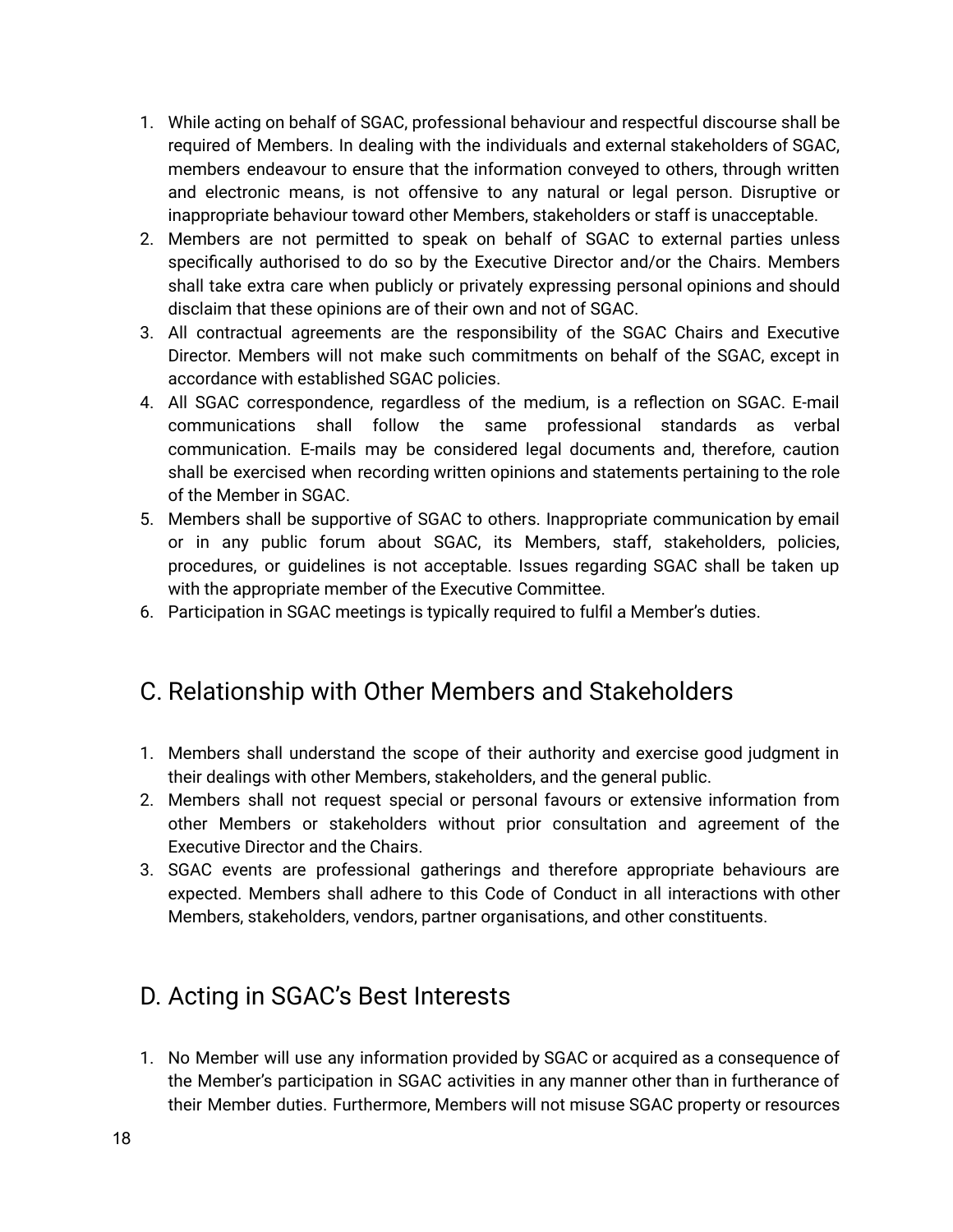- 1. While acting on behalf of SGAC, professional behaviour and respectful discourse shall be required of Members. In dealing with the individuals and external stakeholders of SGAC, members endeavour to ensure that the information conveyed to others, through written and electronic means, is not offensive to any natural or legal person. Disruptive or inappropriate behaviour toward other Members, stakeholders or staff is unacceptable.
- 2. Members are not permitted to speak on behalf of SGAC to external parties unless specifically authorised to do so by the Executive Director and/or the Chairs. Members shall take extra care when publicly or privately expressing personal opinions and should disclaim that these opinions are of their own and not of SGAC.
- 3. All contractual agreements are the responsibility of the SGAC Chairs and Executive Director. Members will not make such commitments on behalf of the SGAC, except in accordance with established SGAC policies.
- 4. All SGAC correspondence, regardless of the medium, is a reflection on SGAC. E-mail communications shall follow the same professional standards as verbal communication. E-mails may be considered legal documents and, therefore, caution shall be exercised when recording written opinions and statements pertaining to the role of the Member in SGAC.
- 5. Members shall be supportive of SGAC to others. Inappropriate communication by email or in any public forum about SGAC, its Members, staff, stakeholders, policies, procedures, or guidelines is not acceptable. Issues regarding SGAC shall be taken up with the appropriate member of the Executive Committee.
- 6. Participation in SGAC meetings is typically required to fulfil a Member's duties.

### <span id="page-17-0"></span>C. Relationship with Other Members and Stakeholders

- 1. Members shall understand the scope of their authority and exercise good judgment in their dealings with other Members, stakeholders, and the general public.
- 2. Members shall not request special or personal favours or extensive information from other Members or stakeholders without prior consultation and agreement of the Executive Director and the Chairs.
- 3. SGAC events are professional gatherings and therefore appropriate behaviours are expected. Members shall adhere to this Code of Conduct in all interactions with other Members, stakeholders, vendors, partner organisations, and other constituents.

### <span id="page-17-1"></span>D. Acting in SGAC's Best Interests

1. No Member will use any information provided by SGAC or acquired as a consequence of the Member's participation in SGAC activities in any manner other than in furtherance of their Member duties. Furthermore, Members will not misuse SGAC property or resources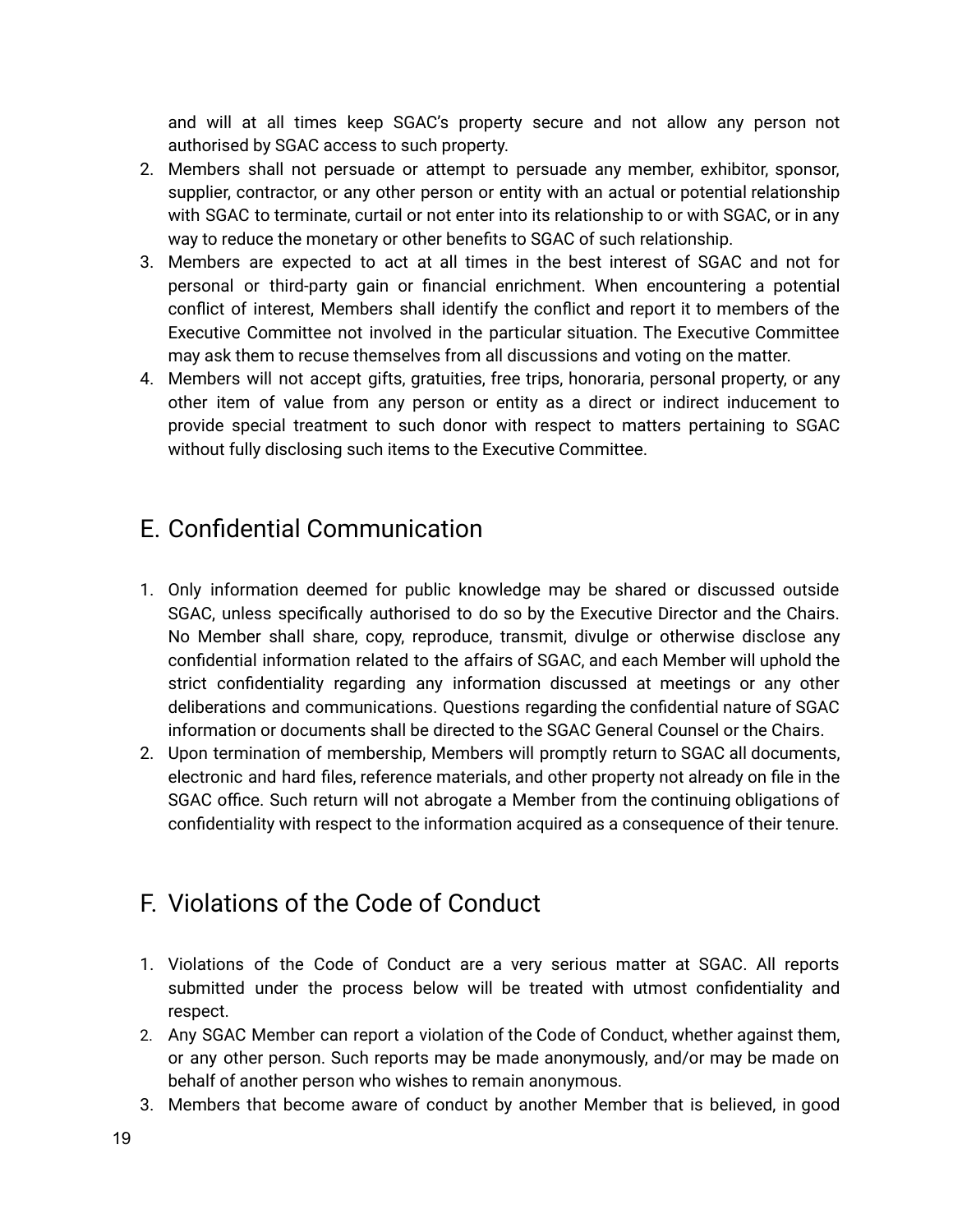and will at all times keep SGAC's property secure and not allow any person not authorised by SGAC access to such property.

- 2. Members shall not persuade or attempt to persuade any member, exhibitor, sponsor, supplier, contractor, or any other person or entity with an actual or potential relationship with SGAC to terminate, curtail or not enter into its relationship to or with SGAC, or in any way to reduce the monetary or other benefits to SGAC of such relationship.
- 3. Members are expected to act at all times in the best interest of SGAC and not for personal or third-party gain or financial enrichment. When encountering a potential conflict of interest, Members shall identify the conflict and report it to members of the Executive Committee not involved in the particular situation. The Executive Committee may ask them to recuse themselves from all discussions and voting on the matter.
- 4. Members will not accept gifts, gratuities, free trips, honoraria, personal property, or any other item of value from any person or entity as a direct or indirect inducement to provide special treatment to such donor with respect to matters pertaining to SGAC without fully disclosing such items to the Executive Committee.

### <span id="page-18-0"></span>E. Confidential Communication

- 1. Only information deemed for public knowledge may be shared or discussed outside SGAC, unless specifically authorised to do so by the Executive Director and the Chairs. No Member shall share, copy, reproduce, transmit, divulge or otherwise disclose any confidential information related to the affairs of SGAC, and each Member will uphold the strict confidentiality regarding any information discussed at meetings or any other deliberations and communications. Questions regarding the confidential nature of SGAC information or documents shall be directed to the SGAC General Counsel or the Chairs.
- 2. Upon termination of membership, Members will promptly return to SGAC all documents, electronic and hard files, reference materials, and other property not already on file in the SGAC office. Such return will not abrogate a Member from the continuing obligations of confidentiality with respect to the information acquired as a consequence of their tenure.

### <span id="page-18-1"></span>F. Violations of the Code of Conduct

- 1. Violations of the Code of Conduct are a very serious matter at SGAC. All reports submitted under the process below will be treated with utmost confidentiality and respect.
- 2. Any SGAC Member can report a violation of the Code of Conduct, whether against them, or any other person. Such reports may be made anonymously, and/or may be made on behalf of another person who wishes to remain anonymous.
- 3. Members that become aware of conduct by another Member that is believed, in good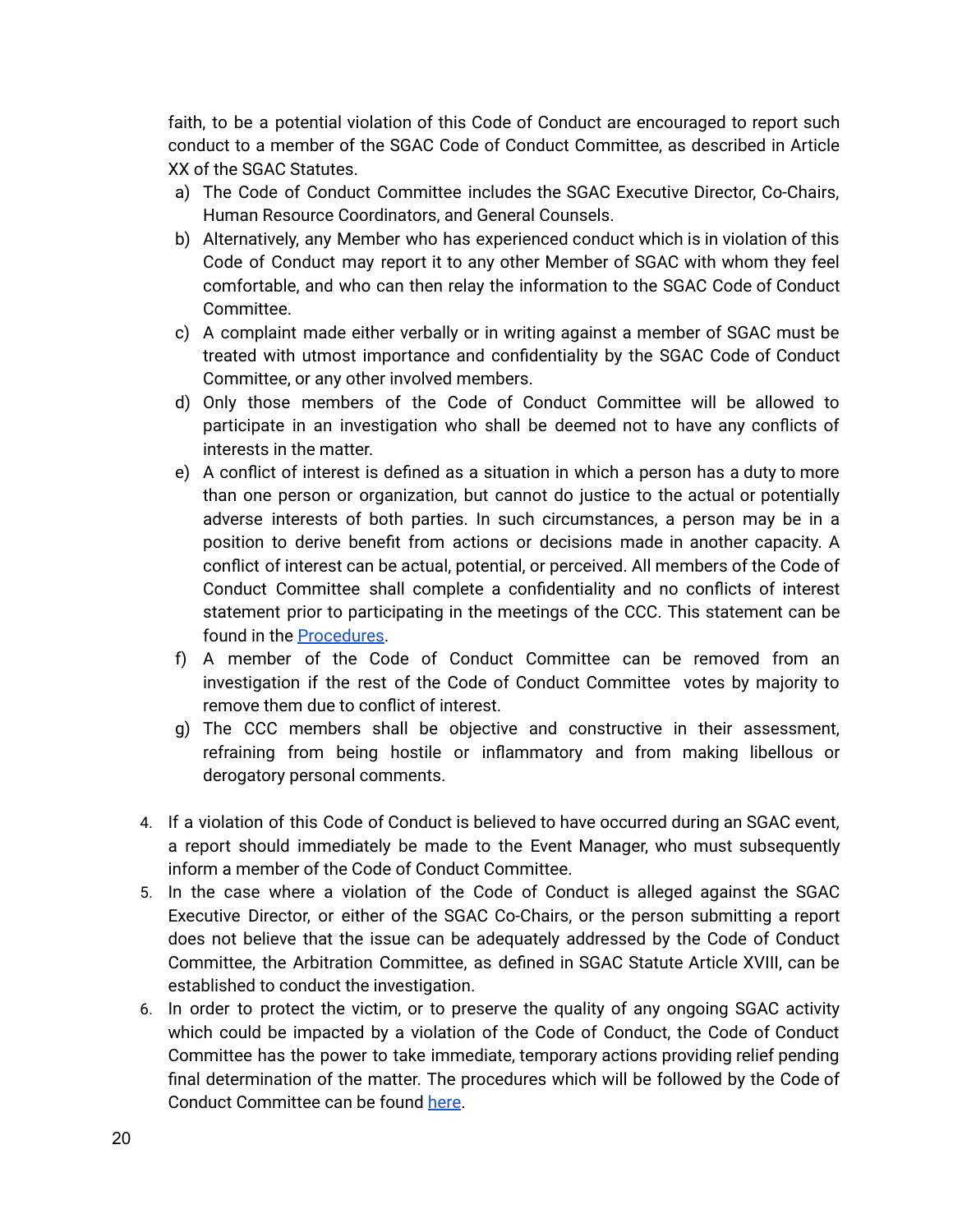faith, to be a potential violation of this Code of Conduct are encouraged to report such conduct to a member of the SGAC Code of Conduct Committee, as described in Article XX of the SGAC Statutes.

- a) The Code of Conduct Committee includes the SGAC Executive Director, Co-Chairs, Human Resource Coordinators, and General Counsels.
- b) Alternatively, any Member who has experienced conduct which is in violation of this Code of Conduct may report it to any other Member of SGAC with whom they feel comfortable, and who can then relay the information to the SGAC Code of Conduct Committee.
- c) A complaint made either verbally or in writing against a member of SGAC must be treated with utmost importance and confidentiality by the SGAC Code of Conduct Committee, or any other involved members.
- d) Only those members of the Code of Conduct Committee will be allowed to participate in an investigation who shall be deemed not to have any conflicts of interests in the matter.
- e) A conflict of interest is defined as a situation in which a person has a duty to more than one person or organization, but cannot do justice to the actual or potentially adverse interests of both parties. In such circumstances, a person may be in a position to derive benefit from actions or decisions made in another capacity. A conflict of interest can be actual, potential, or perceived. All members of the Code of Conduct Committee shall complete a confidentiality and no conflicts of interest statement prior to participating in the meetings of the CCC. This statement can be found in the [Procedures](https://drive.google.com/file/d/196zpwsUP4TFaOTxPA-faWKs108Wwt182/view?usp=sharing).
- f) A member of the Code of Conduct Committee can be removed from an investigation if the rest of the Code of Conduct Committee votes by majority to remove them due to conflict of interest.
- g) The CCC members shall be objective and constructive in their assessment, refraining from being hostile or inflammatory and from making libellous or derogatory personal comments.
- 4. If a violation of this Code of Conduct is believed to have occurred during an SGAC event, a report should immediately be made to the Event Manager, who must subsequently inform a member of the Code of Conduct Committee.
- 5. In the case where a violation of the Code of Conduct is alleged against the SGAC Executive Director, or either of the SGAC Co-Chairs, or the person submitting a report does not believe that the issue can be adequately addressed by the Code of Conduct Committee, the Arbitration Committee, as defined in SGAC Statute Article XVIII, can be established to conduct the investigation.
- 6. In order to protect the victim, or to preserve the quality of any ongoing SGAC activity which could be impacted by a violation of the Code of Conduct, the Code of Conduct Committee has the power to take immediate, temporary actions providing relief pending final determination of the matter. The procedures which will be followed by the Code of Conduct Committee can be found [here](https://drive.google.com/file/d/196zpwsUP4TFaOTxPA-faWKs108Wwt182/view?usp=sharing).